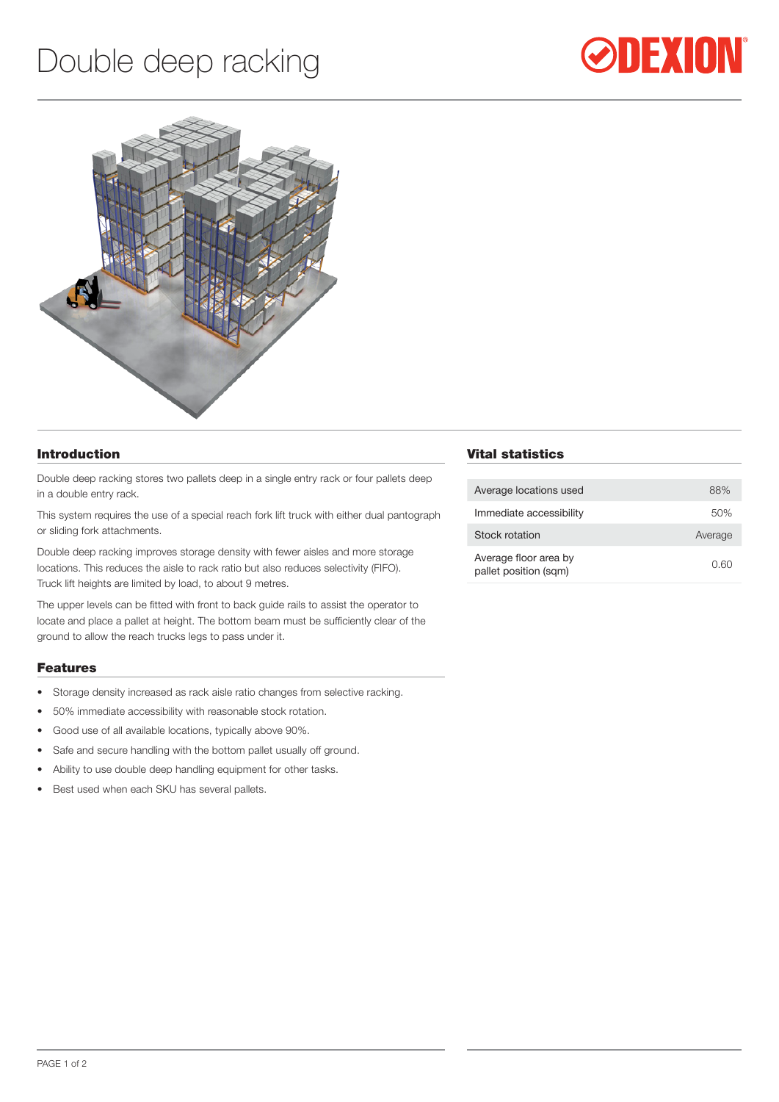# Double deep racking





#### Introduction

Double deep racking stores two pallets deep in a single entry rack or four pallets deep in a double entry rack.

This system requires the use of a special reach fork lift truck with either dual pantograph or sliding fork attachments.

Double deep racking improves storage density with fewer aisles and more storage locations. This reduces the aisle to rack ratio but also reduces selectivity (FIFO). Truck lift heights are limited by load, to about 9 metres.

The upper levels can be fitted with front to back guide rails to assist the operator to locate and place a pallet at height. The bottom beam must be sufficiently clear of the ground to allow the reach trucks legs to pass under it.

#### Features

- Storage density increased as rack aisle ratio changes from selective racking.
- • 50% immediate accessibility with reasonable stock rotation.
- • Good use of all available locations, typically above 90%.
- Safe and secure handling with the bottom pallet usually off ground.
- • Ability to use double deep handling equipment for other tasks.
- Best used when each SKU has several pallets.

## Vital statistics

| Average locations used                         | 88%     |
|------------------------------------------------|---------|
| Immediate accessibility                        | 50%     |
| Stock rotation                                 | Average |
| Average floor area by<br>pallet position (sqm) | 0.60    |